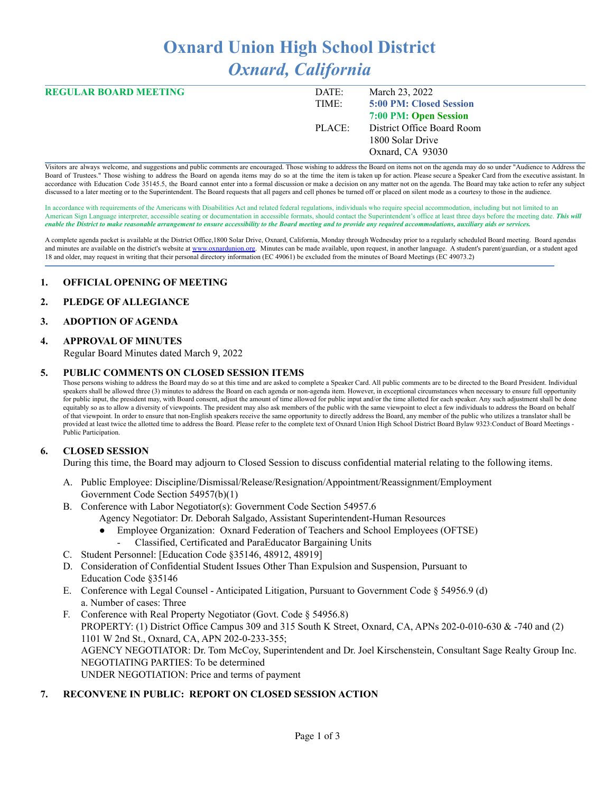# **Oxnard Union High School District** *Oxnard, California*

| <b>REGULAR BOARD MEETING</b> | DATE:  | March 23, 2022             |
|------------------------------|--------|----------------------------|
|                              | TIME:  | 5:00 PM: Closed Session    |
|                              |        | 7:00 PM: Open Session      |
|                              | PLACE: | District Office Board Room |
|                              |        | 1800 Solar Drive           |
|                              |        | Oxnard, CA 93030           |

Visitors are always welcome, and suggestions and public comments are encouraged. Those wishing to address the Board on items not on the agenda may do so under "Audience to Address the Board of Trustees." Those wishing to address the Board on agenda items may do so at the time the item is taken up for action. Please secure a Speaker Card from the executive assistant. In accordance with Education Code 35145.5, the Board cannot enter into a formal discussion or make a decision on any matter not on the agenda. The Board may take action to refer any subject discussed to a later meeting or to the Superintendent. The Board requests that all pagers and cell phones be turned off or placed on silent mode as a courtesy to those in the audience.

In accordance with requirements of the Americans with Disabilities Act and related federal regulations, individuals who require special accommodation, including but not limited to an American Sign Language interpreter, accessible seating or documentation in accessible formats, should contact the Superintendent's office at least three days before the meeting date. *This will* enable the District to make reasonable arrangement to ensure accessibility to the Board meeting and to provide any required accommodations, auxiliary aids or services.

A complete agenda packet is available at the District Office,1800 Solar Drive, Oxnard, California, Monday through Wednesday prior to a regularly scheduled Board meeting. Board agendas and minutes are available on the district's website at [www.o](http://www.o)xnardunion.org. Minutes can be made available, upon request, in another language. A student's parent/guardian, or a student aged 18 and older, may request in writing that their personal directory information (EC 49061) be excluded from the minutes of Board Meetings (EC 49073.2)

# **1. OFFICIAL OPENING OF MEETING**

#### **2. PLEDGE OF ALLEGIANCE**

#### **3. ADOPTION OF AGENDA**

#### **4. APPROVAL OF MINUTES**

Regular Board Minutes dated March 9, 2022

#### **5. PUBLIC COMMENTS ON CLOSED SESSION ITEMS**

Those persons wishing to address the Board may do so at this time and are asked to complete a Speaker Card. All public comments are to be directed to the Board President. Individual speakers shall be allowed three (3) minutes to address the Board on each agenda or non-agenda item. However, in exceptional circumstances when necessary to ensure full opportunity for public input, the president may, with Board consent, adjust the amount of time allowed for public input and/or the time allotted for each speaker. Any such adjustment shall be done equitably so as to allow a diversity of viewpoints. The president may also ask members of the public with the same viewpoint to elect a few individuals to address the Board on behalf of that viewpoint. In order to ensure that non-English speakers receive the same opportunity to directly address the Board, any member of the public who utilizes a translator shall be provided at least twice the allotted time to address the Board. Please refer to the complete text of Oxnard Union High School District Board Bylaw 9323:Conduct of Board Meetings -Public Participation.

# **6. CLOSED SESSION**

During this time, the Board may adjourn to Closed Session to discuss confidential material relating to the following items.

- A. Public Employee: Discipline/Dismissal/Release/Resignation/Appointment/Reassignment/Employment Government Code Section 54957(b)(1)
- B. Conference with Labor Negotiator(s): Government Code Section 54957.6 Agency Negotiator: Dr. Deborah Salgado, Assistant Superintendent-Human Resources
	- Employee Organization: Oxnard Federation of Teachers and School Employees (OFTSE)
	- Classified, Certificated and ParaEducator Bargaining Units
- C. Student Personnel: [Education Code §35146, 48912, 48919]
- D. Consideration of Confidential Student Issues Other Than Expulsion and Suspension, Pursuant to Education Code §35146
- E. Conference with Legal Counsel Anticipated Litigation, Pursuant to Government Code § 54956.9 (d) a. Number of cases: Three
- F. Conference with Real Property Negotiator (Govt. Code § 54956.8) PROPERTY: (1) District Office Campus 309 and 315 South K Street, Oxnard, CA, APNs 202-0-010-630 & -740 and (2) 1101 W 2nd St., Oxnard, CA, APN 202-0-233-355; AGENCY NEGOTIATOR: Dr. Tom McCoy, Superintendent and Dr. Joel Kirschenstein, Consultant Sage Realty Group Inc. NEGOTIATING PARTIES: To be determined UNDER NEGOTIATION: Price and terms of payment

# **7. RECONVENE IN PUBLIC: REPORT ON CLOSED SESSION ACTION**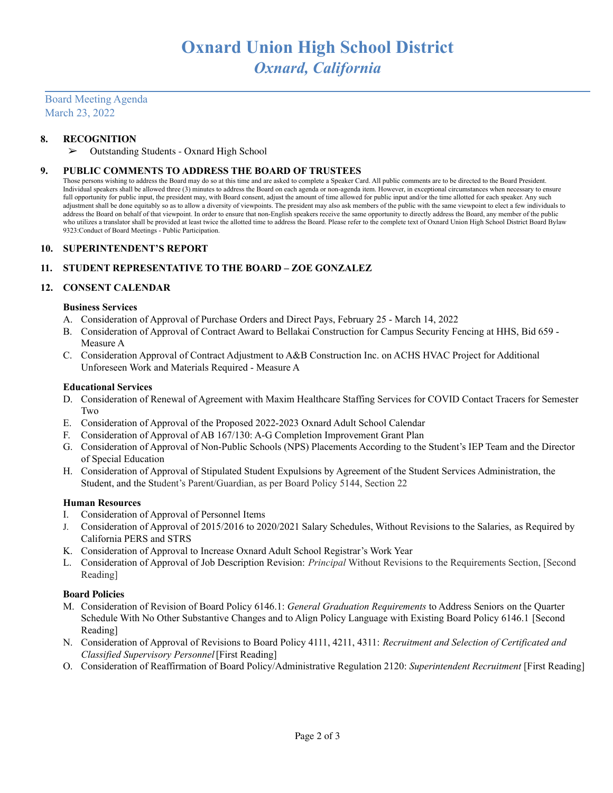Board Meeting Agenda March 23, 2022

# **8. RECOGNITION**

➢ Outstanding Students - Oxnard High School

# **9. PUBLIC COMMENTS TO ADDRESS THE BOARD OF TRUSTEES**

Those persons wishing to address the Board may do so at this time and are asked to complete a Speaker Card. All public comments are to be directed to the Board President. Individual speakers shall be allowed three (3) minutes to address the Board on each agenda or non-agenda item. However, in exceptional circumstances when necessary to ensure full opportunity for public input, the president may, with Board consent, adjust the amount of time allowed for public input and/or the time allotted for each speaker. Any such adjustment shall be done equitably so as to allow a diversity of viewpoints. The president may also ask members of the public with the same viewpoint to elect a few individuals to address the Board on behalf of that viewpoint. In order to ensure that non-English speakers receive the same opportunity to directly address the Board, any member of the public who utilizes a translator shall be provided at least twice the allotted time to address the Board. Please refer to the complete text of Oxnard Union High School District Board Bylaw 9323:Conduct of Board Meetings - Public Participation.

#### **10. SUPERINTENDENT'S REPORT**

# **11. STUDENT REPRESENTATIVE TO THE BOARD – ZOE GONZALEZ**

# **12. CONSENT CALENDAR**

#### **Business Services**

- A. Consideration of Approval of Purchase Orders and Direct Pays, February 25 March 14, 2022
- B. Consideration of Approval of Contract Award to Bellakai Construction for Campus Security Fencing at HHS, Bid 659 Measure A
- C. Consideration Approval of Contract Adjustment to A&B Construction Inc. on ACHS HVAC Project for Additional Unforeseen Work and Materials Required - Measure A

#### **Educational Services**

- D. Consideration of Renewal of Agreement with Maxim Healthcare Staffing Services for COVID Contact Tracers for Semester Two
- E. Consideration of Approval of the Proposed 2022-2023 Oxnard Adult School Calendar
- F. Consideration of Approval of AB 167/130: A-G Completion Improvement Grant Plan
- G. Consideration of Approval of Non-Public Schools (NPS) Placements According to the Student's IEP Team and the Director of Special Education
- H. Consideration of Approval of Stipulated Student Expulsions by Agreement of the Student Services Administration, the Student, and the Student's Parent/Guardian, as per Board Policy 5144, Section 22

# **Human Resources**

- I. Consideration of Approval of Personnel Items
- J. Consideration of Approval of 2015/2016 to 2020/2021 Salary Schedules, Without Revisions to the Salaries, as Required by California PERS and STRS
- K. Consideration of Approval to Increase Oxnard Adult School Registrar's Work Year
- L. Consideration of Approval of Job Description Revision: *Principal* Without Revisions to the Requirements Section, [Second Reading]

# **Board Policies**

- M. Consideration of Revision of Board Policy 6146.1: *General Graduation Requirements* to Address Seniors on the Quarter Schedule With No Other Substantive Changes and to Align Policy Language with Existing Board Policy 6146.1 [Second Reading]
- N. Consideration of Approval of Revisions to Board Policy 4111, 4211, 4311: *Recruitment and Selection of Certificated and Classified Supervisory Personnel*[First Reading]
- O. Consideration of Reaffirmation of Board Policy/Administrative Regulation 2120: *Superintendent Recruitment* [First Reading]